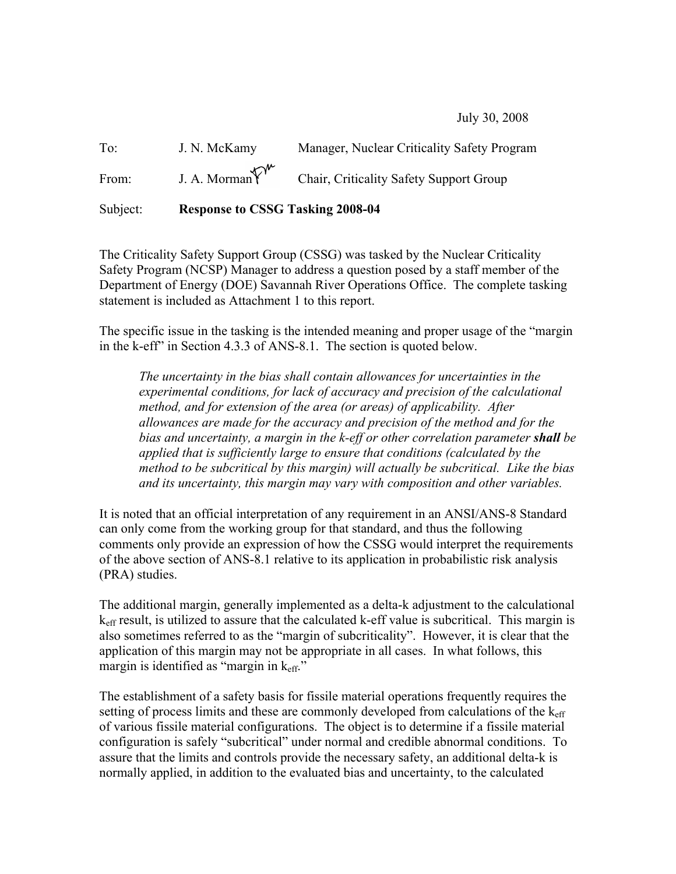July 30, 2008

To: J. N. McKamy Manager, Nuclear Criticality Safety Program From: J. A. Morman  $\widehat{Y}^{\mathsf{w}}$  Chair, Criticality Safety Support Group

Subject: Response to CSSG Tasking 2008-04

The Criticality Safety Support Group (CSSG) was tasked by the Nuclear Criticality Safety Program (NCSP) Manager to address a question posed by a staff member of the Department of Energy (DOE) Savannah River Operations Office. The complete tasking statement is included as Attachment 1 to this report.

The specific issue in the tasking is the intended meaning and proper usage of the "margin in the k-eff" in Section 4.3.3 of ANS-8.1. The section is quoted below.

*The uncertainty in the bias shall contain allowances for uncertainties in the experimental conditions, for lack of accuracy and precision of the calculational method, and for extension of the area (or areas) of applicability. After allowances are made for the accuracy and precision of the method and for the bias and uncertainty, a margin in the k-eff or other correlation parameter shall be applied that is sufficiently large to ensure that conditions (calculated by the method to be subcritical by this margin) will actually be subcritical. Like the bias and its uncertainty, this margin may vary with composition and other variables.*

It is noted that an official interpretation of any requirement in an ANSI/ANS-8 Standard can only come from the working group for that standard, and thus the following comments only provide an expression of how the CSSG would interpret the requirements of the above section of ANS-8.1 relative to its application in probabilistic risk analysis (PRA) studies.

The additional margin, generally implemented as a delta-k adjustment to the calculational  $k<sub>eff</sub>$  result, is utilized to assure that the calculated k-eff value is subcritical. This margin is also sometimes referred to as the "margin of subcriticality". However, it is clear that the application of this margin may not be appropriate in all cases. In what follows, this margin is identified as "margin in k<sub>eff</sub>."

The establishment of a safety basis for fissile material operations frequently requires the setting of process limits and these are commonly developed from calculations of the  $k_{\text{eff}}$ of various fissile material configurations. The object is to determine if a fissile material configuration is safely "subcritical" under normal and credible abnormal conditions. To assure that the limits and controls provide the necessary safety, an additional delta-k is normally applied, in addition to the evaluated bias and uncertainty, to the calculated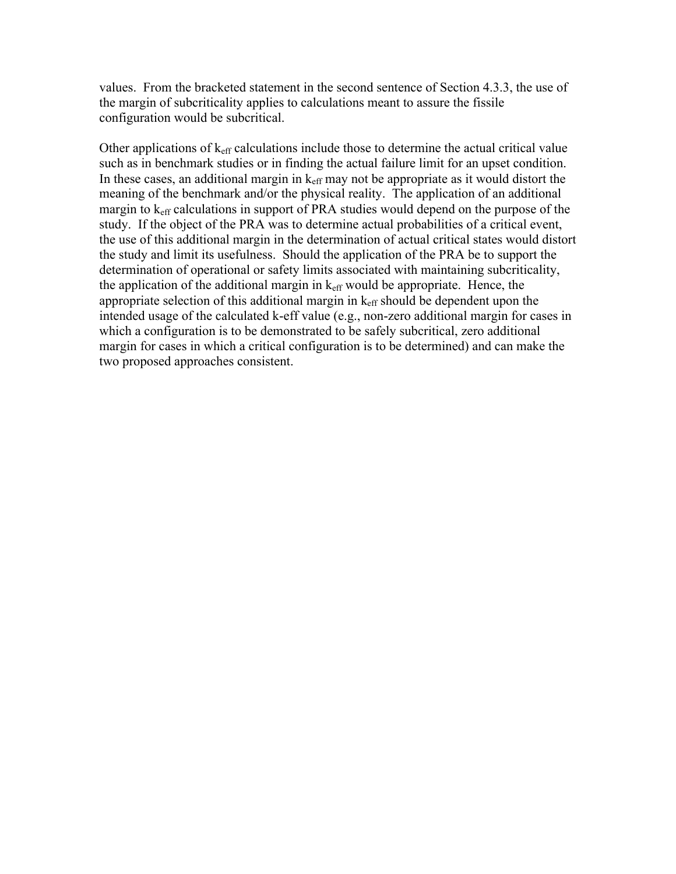values. From the bracketed statement in the second sentence of Section 4.3.3, the use of the margin of subcriticality applies to calculations meant to assure the fissile configuration would be subcritical.

Other applications of  $k<sub>eff</sub>$  calculations include those to determine the actual critical value such as in benchmark studies or in finding the actual failure limit for an upset condition. In these cases, an additional margin in  $k<sub>eff</sub>$  may not be appropriate as it would distort the meaning of the benchmark and/or the physical reality. The application of an additional margin to  $k<sub>eff</sub>$  calculations in support of PRA studies would depend on the purpose of the study. If the object of the PRA was to determine actual probabilities of a critical event, the use of this additional margin in the determination of actual critical states would distort the study and limit its usefulness. Should the application of the PRA be to support the determination of operational or safety limits associated with maintaining subcriticality, the application of the additional margin in  $k<sub>eff</sub>$  would be appropriate. Hence, the appropriate selection of this additional margin in  $k<sub>eff</sub>$  should be dependent upon the intended usage of the calculated k-eff value (e.g., non-zero additional margin for cases in which a configuration is to be demonstrated to be safely subcritical, zero additional margin for cases in which a critical configuration is to be determined) and can make the two proposed approaches consistent.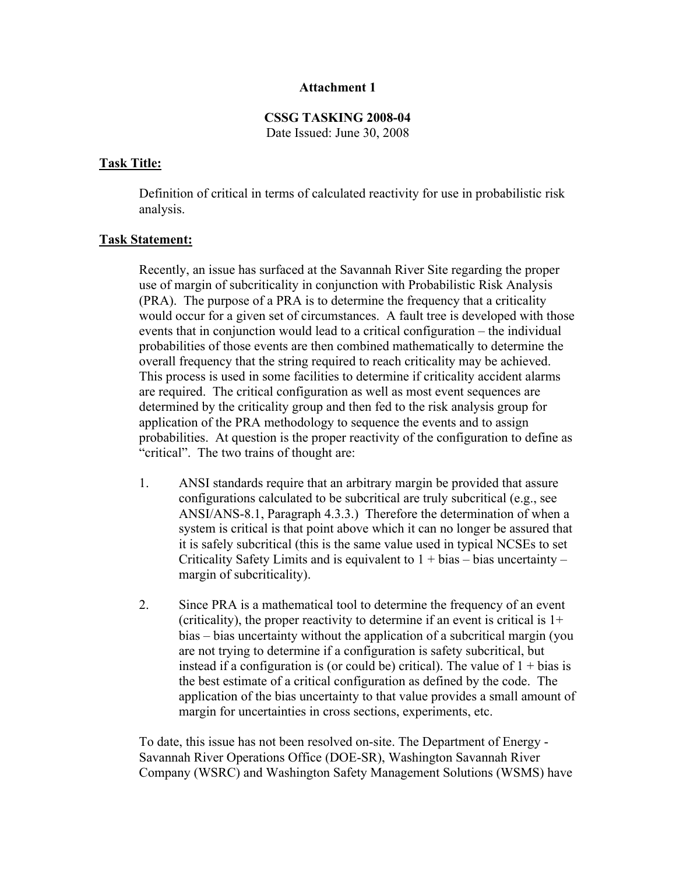## Attachment 1

## CSSG TASKING 2008-04 Date Issued: June 30, 2008

# Task Title:

Definition of critical in terms of calculated reactivity for use in probabilistic risk analysis.

## Task Statement:

Recently, an issue has surfaced at the Savannah River Site regarding the proper use of margin of subcriticality in conjunction with Probabilistic Risk Analysis (PRA). The purpose of a PRA is to determine the frequency that a criticality would occur for a given set of circumstances. A fault tree is developed with those events that in conjunction would lead to a critical configuration – the individual probabilities of those events are then combined mathematically to determine the overall frequency that the string required to reach criticality may be achieved. This process is used in some facilities to determine if criticality accident alarms are required. The critical configuration as well as most event sequences are determined by the criticality group and then fed to the risk analysis group for application of the PRA methodology to sequence the events and to assign probabilities. At question is the proper reactivity of the configuration to define as "critical". The two trains of thought are:

- 1. ANSI standards require that an arbitrary margin be provided that assure configurations calculated to be subcritical are truly subcritical (e.g., see ANSI/ANS-8.1, Paragraph 4.3.3.) Therefore the determination of when a system is critical is that point above which it can no longer be assured that it is safely subcritical (this is the same value used in typical NCSEs to set Criticality Safety Limits and is equivalent to  $1 + bias - bias$  uncertainty – margin of subcriticality).
- 2. Since PRA is a mathematical tool to determine the frequency of an event (criticality), the proper reactivity to determine if an event is critical is  $1+$ bias – bias uncertainty without the application of a subcritical margin (you are not trying to determine if a configuration is safety subcritical, but instead if a configuration is (or could be) critical). The value of  $1 + \text{bias}$  is the best estimate of a critical configuration as defined by the code. The application of the bias uncertainty to that value provides a small amount of margin for uncertainties in cross sections, experiments, etc.

To date, this issue has not been resolved on-site. The Department of Energy - Savannah River Operations Office (DOE-SR), Washington Savannah River Company (WSRC) and Washington Safety Management Solutions (WSMS) have